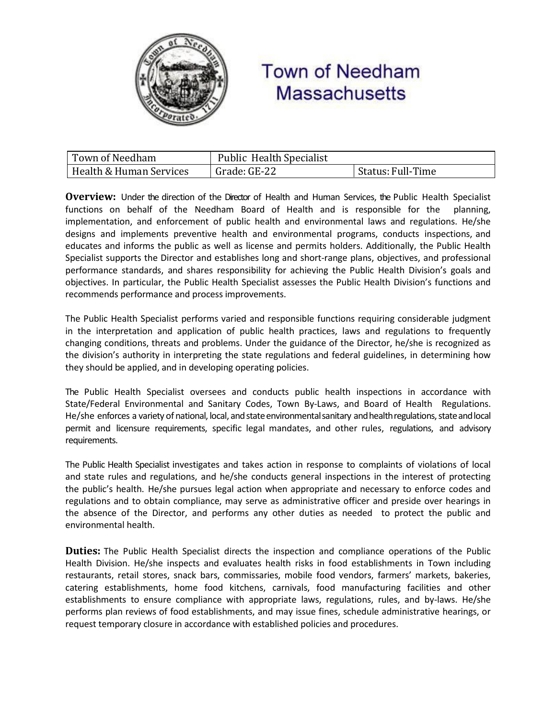

## **Town of Needham Massachusetts**

| Town of Needham         | <b>Public Health Specialist</b> |                   |
|-------------------------|---------------------------------|-------------------|
| Health & Human Services | Grade: GE-22                    | Status: Full-Time |

**Overview:** Under the direction of the Director of Health and Human Services, the Public Health Specialist functions on behalf of the Needham Board of Health and is responsible for the planning, implementation, and enforcement of public health and environmental laws and regulations. He/she designs and implements preventive health and environmental programs, conducts inspections, and educates and informs the public as well as license and permits holders. Additionally, the Public Health Specialist supports the Director and establishes long and short-range plans, objectives, and professional performance standards, and shares responsibility for achieving the Public Health Division's goals and objectives. In particular, the Public Health Specialist assesses the Public Health Division's functions and recommends performance and process improvements.

The Public Health Specialist performs varied and responsible functions requiring considerable judgment in the interpretation and application of public health practices, laws and regulations to frequently changing conditions, threats and problems. Under the guidance of the Director, he/she is recognized as the division's authority in interpreting the state regulations and federal guidelines, in determining how they should be applied, and in developing operating policies.

The Public Health Specialist oversees and conducts public health inspections in accordance with State/Federal Environmental and Sanitary Codes, Town By-Laws, and Board of Health Regulations. He/she enforces a variety of national, local, and state environmental sanitary and health regulations, state and local permit and licensure requirements, specific legal mandates, and other rules, regulations, and advisory requirements.

The Public Health Specialist investigates and takes action in response to complaints of violations of local and state rules and regulations, and he/she conducts general inspections in the interest of protecting the public's health. He/she pursues legal action when appropriate and necessary to enforce codes and regulations and to obtain compliance, may serve as administrative officer and preside over hearings in the absence of the Director, and performs any other duties as needed to protect the public and environmental health.

**Duties:** The Public Health Specialist directs the inspection and compliance operations of the Public Health Division. He/she inspects and evaluates health risks in food establishments in Town including restaurants, retail stores, snack bars, commissaries, mobile food vendors, farmers' markets, bakeries, catering establishments, home food kitchens, carnivals, food manufacturing facilities and other establishments to ensure compliance with appropriate laws, regulations, rules, and by-laws. He/she performs plan reviews of food establishments, and may issue fines, schedule administrative hearings, or request temporary closure in accordance with established policies and procedures.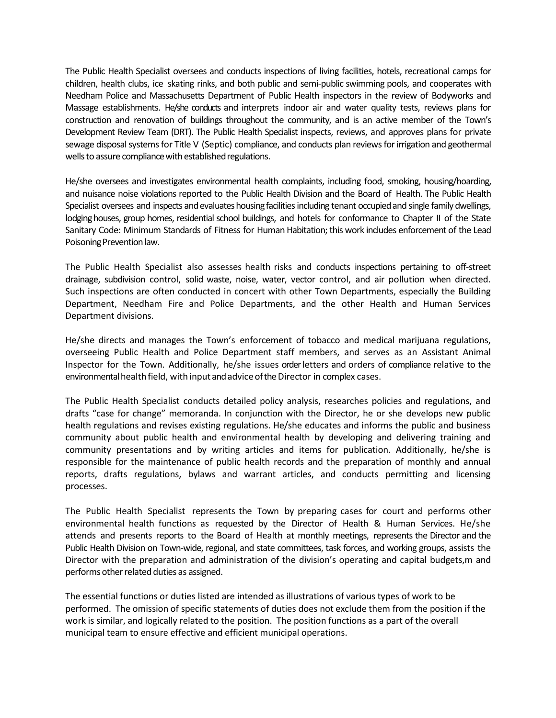The Public Health Specialist oversees and conducts inspections of living facilities, hotels, recreational camps for children, health clubs, ice skating rinks, and both public and semi-public swimming pools, and cooperates with Needham Police and Massachusetts Department of Public Health inspectors in the review of Bodyworks and Massage establishments. He/she conducts and interprets indoor air and water quality tests, reviews plans for construction and renovation of buildings throughout the community, and is an active member of the Town's Development Review Team (DRT). The Public Health Specialist inspects, reviews, and approves plans for private sewage disposal systems for Title V (Septic) compliance, and conducts plan reviews for irrigation and geothermal wells to assure compliance with established regulations.

He/she oversees and investigates environmental health complaints, including food, smoking, housing/hoarding, and nuisance noise violations reported to the Public Health Division and the Board of Health. The Public Health Specialist oversees and inspects and evaluates housing facilities including tenant occupied and single family dwellings, lodging houses, group homes, residential school buildings, and hotels for conformance to Chapter II of the State Sanitary Code: Minimum Standards of Fitness for Human Habitation; this work includes enforcement of the Lead Poisoning Prevention law.

The Public Health Specialist also assesses health risks and conducts inspections pertaining to off-street drainage, subdivision control, solid waste, noise, water, vector control, and air pollution when directed. Such inspections are often conducted in concert with other Town Departments, especially the Building Department, Needham Fire and Police Departments, and the other Health and Human Services Department divisions.

He/she directs and manages the Town's enforcement of tobacco and medical marijuana regulations, overseeing Public Health and Police Department staff members, and serves as an Assistant Animal Inspector for the Town. Additionally, he/she issues orderletters and orders of compliance relative to the environmental health field, with input and advice of the Director in complex cases.

The Public Health Specialist conducts detailed policy analysis, researches policies and regulations, and drafts "case for change" memoranda. In conjunction with the Director, he or she develops new public health regulations and revises existing regulations. He/she educates and informs the public and business community about public health and environmental health by developing and delivering training and community presentations and by writing articles and items for publication. Additionally, he/she is responsible for the maintenance of public health records and the preparation of monthly and annual reports, drafts regulations, bylaws and warrant articles, and conducts permitting and licensing processes.

The Public Health Specialist represents the Town by preparing cases for court and performs other environmental health functions as requested by the Director of Health & Human Services. He/she attends and presents reports to the Board of Health at monthly meetings, represents the Director and the Public Health Division on Town-wide, regional, and state committees, task forces, and working groups, assists the Director with the preparation and administration of the division's operating and capital budgets,m and performs other related duties as assigned.

The essential functions or duties listed are intended as illustrations of various types of work to be performed. The omission of specific statements of duties does not exclude them from the position if the work is similar, and logically related to the position. The position functions as a part of the overall municipal team to ensure effective and efficient municipal operations.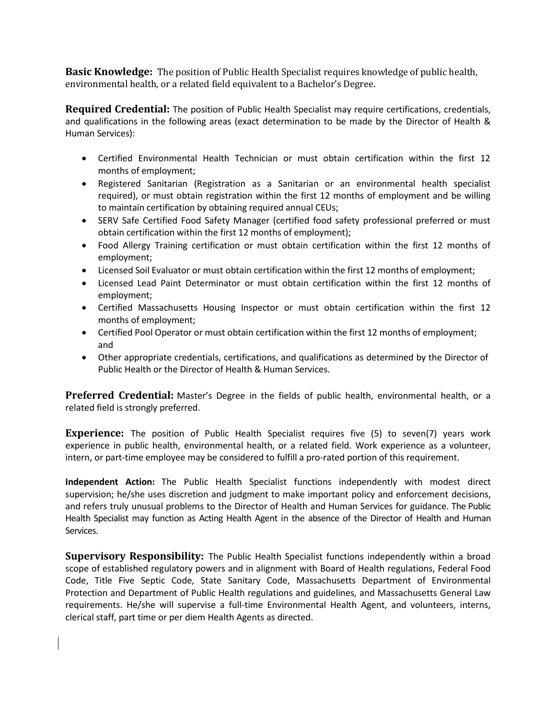**Basic Knowledge:** The position of Public Health Specialist requires knowledge of public health, environmental health, or a related field equivalent to a Bachelor's Degree.

**Required Credential:** The position of Public Health Specialist may require certifications, credentials, and qualifications in the following areas (exact determination to be made by the Director of Health & Human Services):

- Certified Environmental Health Technician or must obtain certification within the first 12 months of employment;
- Registered Sanitarian (Registration as a Sanitarian or an environmental health specialist required), or must obtain registration within the first 12 months of employment and be willing to maintain certification by obtaining required annual CEUs;
- SERV Safe Certified Food Safety Manager (certified food safety professional preferred or must obtain certification within the first 12 months of employment);
- Food Allergy Training certification or must obtain certification within the first 12 months of employment;
- Licensed Soil Evaluator or must obtain certification within the first 12 months of employment;
- Licensed Lead Paint Determinator or must obtain certification within the first 12 months of employment;
- Certified Massachusetts Housing Inspector or must obtain certification within the first 12 months of employment;
- Certified Pool Operator or must obtain certification within the first 12 months of employment; and
- Other appropriate credentials, certifications, and qualifications as determined by the Director of Public Health or the Director of Health & Human Services.

**Preferred Credential:** Master's Degree in the fields of public health, environmental health, or a related field is strongly preferred.

**Experience:** The position of Public Health Specialist requires five (5) to seven(7) years work experience in public health, environmental health, or a related field. Work experience as a volunteer, intern, or part-time employee may be considered to fulfill a pro-rated portion of this requirement.

**Independent Action:** The Public Health Specialist functions independently with modest direct supervision; he/she uses discretion and judgment to make important policy and enforcement decisions, and refers truly unusual problems to the Director of Health and Human Services for guidance. The Public Health Specialist may function as Acting Health Agent in the absence of the Director of Health and Human Services.

**Supervisory Responsibility:** The Public Health Specialist functions independently within a broad scope of established regulatory powers and in alignment with Board of Health regulations, Federal Food Code, Title Five Septic Code, State Sanitary Code, Massachusetts Department of Environmental Protection and Department of Public Health regulations and guidelines, and Massachusetts General Law requirements. He/she will supervise a full-time Environmental Health Agent, and volunteers, interns, clerical staff, part time or per diem Health Agents as directed.